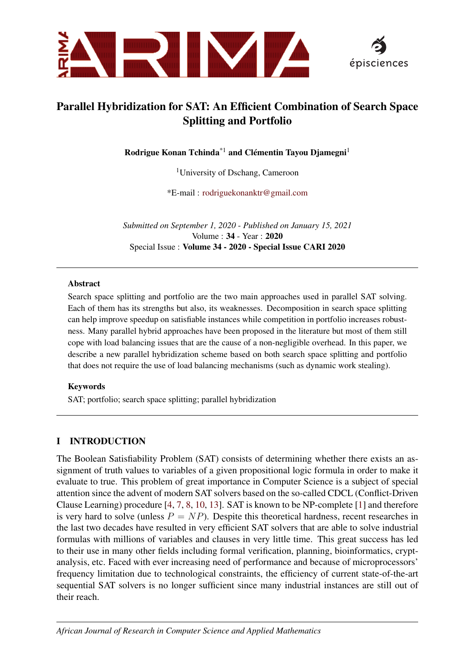



# Parallel Hybridization for SAT: An Efficient Combination of Search Space Splitting and Portfolio

Rodrigue Konan Tchinda<sup>\*1</sup> and Clémentin Tayou Djamegni<sup>1</sup>

<sup>1</sup>University of Dschang, Cameroon

\*E-mail : [rodriguekonanktr@gmail.com](mailto:)

*Submitted on September 1, 2020* - *Published on January 15, 2021* Volume : 34 - Year : 2020 Special Issue : Volume 34 - 2020 - Special Issue CARI 2020

#### Abstract

Search space splitting and portfolio are the two main approaches used in parallel SAT solving. Each of them has its strengths but also, its weaknesses. Decomposition in search space splitting can help improve speedup on satisfiable instances while competition in portfolio increases robustness. Many parallel hybrid approaches have been proposed in the literature but most of them still cope with load balancing issues that are the cause of a non-negligible overhead. In this paper, we describe a new parallel hybridization scheme based on both search space splitting and portfolio that does not require the use of load balancing mechanisms (such as dynamic work stealing).

#### Keywords

SAT; portfolio; search space splitting; parallel hybridization

#### I INTRODUCTION

The Boolean Satisfiability Problem (SAT) consists of determining whether there exists an assignment of truth values to variables of a given propositional logic formula in order to make it evaluate to true. This problem of great importance in Computer Science is a subject of special attention since the advent of modern SAT solvers based on the so-called CDCL (Conflict-Driven Clause Learning) procedure [\[4,](#page-13-0) [7,](#page-13-1) [8,](#page-13-2) [10,](#page-14-0) [13\]](#page-14-1). SAT is known to be NP-complete [\[1\]](#page-13-3) and therefore is very hard to solve (unless  $P = NP$ ). Despite this theoretical hardness, recent researches in the last two decades have resulted in very efficient SAT solvers that are able to solve industrial formulas with millions of variables and clauses in very little time. This great success has led to their use in many other fields including formal verification, planning, bioinformatics, cryptanalysis, etc. Faced with ever increasing need of performance and because of microprocessors' frequency limitation due to technological constraints, the efficiency of current state-of-the-art sequential SAT solvers is no longer sufficient since many industrial instances are still out of their reach.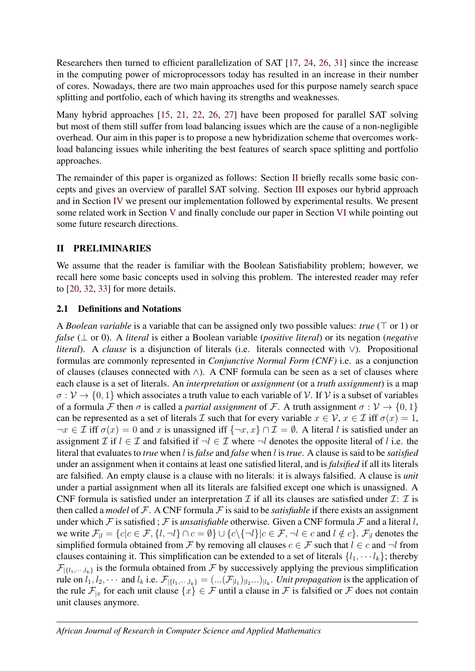Researchers then turned to efficient parallelization of SAT [\[17,](#page-14-2) [24,](#page-14-3) [26,](#page-14-4) [31\]](#page-15-0) since the increase in the computing power of microprocessors today has resulted in an increase in their number of cores. Nowadays, there are two main approaches used for this purpose namely search space splitting and portfolio, each of which having its strengths and weaknesses.

Many hybrid approaches [\[15,](#page-14-5) [21,](#page-14-6) [22,](#page-14-7) [26,](#page-14-4) [27\]](#page-14-8) have been proposed for parallel SAT solving but most of them still suffer from load balancing issues which are the cause of a non-negligible overhead. Our aim in this paper is to propose a new hybridization scheme that overcomes workload balancing issues while inheriting the best features of search space splitting and portfolio approaches.

The remainder of this paper is organized as follows: Section [II](#page-1-0) briefly recalls some basic concepts and gives an overview of parallel SAT solving. Section [III](#page-4-0) exposes our hybrid approach and in Section [IV](#page-8-0) we present our implementation followed by experimental results. We present some related work in Section [V](#page-11-0) and finally conclude our paper in Section [VI](#page-13-4) while pointing out some future research directions.

## <span id="page-1-0"></span>II PRELIMINARIES

We assume that the reader is familiar with the Boolean Satisfiability problem; however, we recall here some basic concepts used in solving this problem. The interested reader may refer to [\[20,](#page-14-9) [32,](#page-15-1) [33\]](#page-15-2) for more details.

## 2.1 Definitions and Notations

A *Boolean variable* is a variable that can be assigned only two possible values: *true*  $(T \text{ or } 1)$  or *false* (⊥ or 0). A *literal* is either a Boolean variable (*positive literal*) or its negation (*negative literal*). A *clause* is a disjunction of literals (i.e. literals connected with ∨). Propositional formulas are commonly represented in *Conjunctive Normal Form (CNF)* i.e. as a conjunction of clauses (clauses connected with ∧). A CNF formula can be seen as a set of clauses where each clause is a set of literals. An *interpretation* or *assignment* (or a *truth assignment*) is a map  $\sigma : \mathcal{V} \to \{0, 1\}$  which associates a truth value to each variable of  $\mathcal{V}$ . If  $\mathcal{V}$  is a subset of variables of a formula F then  $\sigma$  is called a *partial assignment* of F. A truth assignment  $\sigma : V \to \{0, 1\}$ can be represented as a set of literals I such that for every variable  $x \in V$ ,  $x \in \mathcal{I}$  iff  $\sigma(x) = 1$ ,  $\neg x \in \mathcal{I}$  iff  $\sigma(x) = 0$  and x is unassigned iff  $\{\neg x, x\} \cap \mathcal{I} = \emptyset$ . A literal l is satisfied under an assignment I if  $l \in \mathcal{I}$  and falsified if  $\neg l \in \mathcal{I}$  where  $\neg l$  denotes the opposite literal of l i.e. the literal that evaluates to *true* when l is*false* and *false* when l is*true*. A clause is said to be *satisfied* under an assignment when it contains at least one satisfied literal, and is *falsified* if all its literals are falsified. An empty clause is a clause with no literals: it is always falsified. A clause is *unit* under a partial assignment when all its literals are falsified except one which is unassigned. A CNF formula is satisfied under an interpretation  $\mathcal I$  if all its clauses are satisfied under  $\mathcal I: \mathcal I$  is then called a *model* of F. A CNF formula F is said to be *satisfiable* if there exists an assignment under which F is satisfied ; F is *unsatisfiable* otherwise. Given a CNF formula F and a literal l, we write  $\mathcal{F}_{\vert l} = \{c | c \in \mathcal{F}, \{l, \neg l\} \cap c = \emptyset\} \cup \{c \setminus \{\neg l\} | c \in \mathcal{F}, \neg l \in c \text{ and } l \notin c\}$ .  $\mathcal{F}_{\vert l}$  denotes the simplified formula obtained from F by removing all clauses  $c \in \mathcal{F}$  such that  $l \in c$  and  $\neg l$  from clauses containing it. This simplification can be extended to a set of literals  $\{l_1, \dots, l_k\}$ ; thereby  $\mathcal{F}_{\{l_1,\dots,l_k\}}$  is the formula obtained from F by successively applying the previous simplification rule on  $l_1, l_2, \cdots$  and  $l_k$  i.e.  $\mathcal{F}_{|\{l_1, \cdots, l_k\}} = (\ldots (\mathcal{F}_{|l_1})_{|l_2} \ldots)_{|l_k}$ . Unit propagation is the application of the rule  $\mathcal{F}_{|x}$  for each unit clause  $\{x\} \in \mathcal{F}$  until a clause in  $\mathcal{F}$  is falsified or  $\mathcal{F}$  does not contain unit clauses anymore.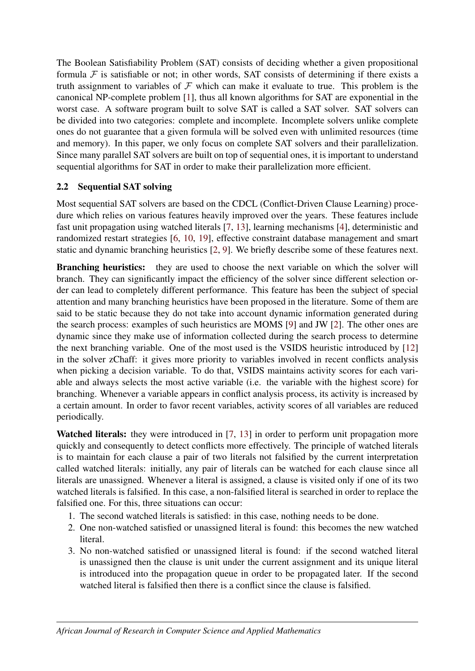The Boolean Satisfiability Problem (SAT) consists of deciding whether a given propositional formula  $F$  is satisfiable or not; in other words, SAT consists of determining if there exists a truth assignment to variables of  $F$  which can make it evaluate to true. This problem is the canonical NP-complete problem [\[1\]](#page-13-3), thus all known algorithms for SAT are exponential in the worst case. A software program built to solve SAT is called a SAT solver. SAT solvers can be divided into two categories: complete and incomplete. Incomplete solvers unlike complete ones do not guarantee that a given formula will be solved even with unlimited resources (time and memory). In this paper, we only focus on complete SAT solvers and their parallelization. Since many parallel SAT solvers are built on top of sequential ones, it is important to understand sequential algorithms for SAT in order to make their parallelization more efficient.

## 2.2 Sequential SAT solving

Most sequential SAT solvers are based on the CDCL (Conflict-Driven Clause Learning) procedure which relies on various features heavily improved over the years. These features include fast unit propagation using watched literals [\[7,](#page-13-1) [13\]](#page-14-1), learning mechanisms [\[4\]](#page-13-0), deterministic and randomized restart strategies [\[6,](#page-13-5) [10,](#page-14-0) [19\]](#page-14-10), effective constraint database management and smart static and dynamic branching heuristics [\[2,](#page-13-6) [9\]](#page-14-11). We briefly describe some of these features next.

Branching heuristics: they are used to choose the next variable on which the solver will branch. They can significantly impact the efficiency of the solver since different selection order can lead to completely different performance. This feature has been the subject of special attention and many branching heuristics have been proposed in the literature. Some of them are said to be static because they do not take into account dynamic information generated during the search process: examples of such heuristics are MOMS [\[9\]](#page-14-11) and JW [\[2\]](#page-13-6). The other ones are dynamic since they make use of information collected during the search process to determine the next branching variable. One of the most used is the VSIDS heuristic introduced by [\[12\]](#page-14-12) in the solver zChaff: it gives more priority to variables involved in recent conflicts analysis when picking a decision variable. To do that, VSIDS maintains activity scores for each variable and always selects the most active variable (i.e. the variable with the highest score) for branching. Whenever a variable appears in conflict analysis process, its activity is increased by a certain amount. In order to favor recent variables, activity scores of all variables are reduced periodically.

Watched literals: they were introduced in [\[7,](#page-13-1) [13\]](#page-14-1) in order to perform unit propagation more quickly and consequently to detect conflicts more effectively. The principle of watched literals is to maintain for each clause a pair of two literals not falsified by the current interpretation called watched literals: initially, any pair of literals can be watched for each clause since all literals are unassigned. Whenever a literal is assigned, a clause is visited only if one of its two watched literals is falsified. In this case, a non-falsified literal is searched in order to replace the falsified one. For this, three situations can occur:

- 1. The second watched literals is satisfied: in this case, nothing needs to be done.
- 2. One non-watched satisfied or unassigned literal is found: this becomes the new watched literal.
- 3. No non-watched satisfied or unassigned literal is found: if the second watched literal is unassigned then the clause is unit under the current assignment and its unique literal is introduced into the propagation queue in order to be propagated later. If the second watched literal is falsified then there is a conflict since the clause is falsified.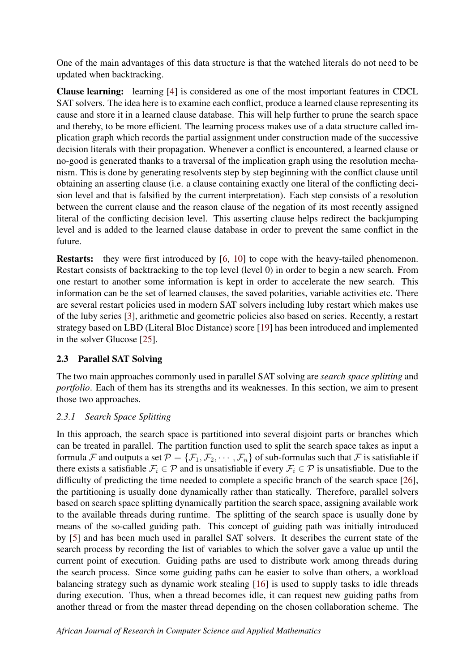One of the main advantages of this data structure is that the watched literals do not need to be updated when backtracking.

Clause learning: learning [\[4\]](#page-13-0) is considered as one of the most important features in CDCL SAT solvers. The idea here is to examine each conflict, produce a learned clause representing its cause and store it in a learned clause database. This will help further to prune the search space and thereby, to be more efficient. The learning process makes use of a data structure called implication graph which records the partial assignment under construction made of the successive decision literals with their propagation. Whenever a conflict is encountered, a learned clause or no-good is generated thanks to a traversal of the implication graph using the resolution mechanism. This is done by generating resolvents step by step beginning with the conflict clause until obtaining an asserting clause (i.e. a clause containing exactly one literal of the conflicting decision level and that is falsified by the current interpretation). Each step consists of a resolution between the current clause and the reason clause of the negation of its most recently assigned literal of the conflicting decision level. This asserting clause helps redirect the backjumping level and is added to the learned clause database in order to prevent the same conflict in the future.

Restarts: they were first introduced by [\[6,](#page-13-5) [10\]](#page-14-0) to cope with the heavy-tailed phenomenon. Restart consists of backtracking to the top level (level 0) in order to begin a new search. From one restart to another some information is kept in order to accelerate the new search. This information can be the set of learned clauses, the saved polarities, variable activities etc. There are several restart policies used in modern SAT solvers including luby restart which makes use of the luby series [\[3\]](#page-13-7), arithmetic and geometric policies also based on series. Recently, a restart strategy based on LBD (Literal Bloc Distance) score [\[19\]](#page-14-10) has been introduced and implemented in the solver Glucose [\[25\]](#page-14-13).

## 2.3 Parallel SAT Solving

The two main approaches commonly used in parallel SAT solving are *search space splitting* and *portfolio*. Each of them has its strengths and its weaknesses. In this section, we aim to present those two approaches.

## *2.3.1 Search Space Splitting*

In this approach, the search space is partitioned into several disjoint parts or branches which can be treated in parallel. The partition function used to split the search space takes as input a formula F and outputs a set  $\mathcal{P} = \{\mathcal{F}_1, \mathcal{F}_2, \cdots, \mathcal{F}_n\}$  of sub-formulas such that F is satisfiable if there exists a satisfiable  $\mathcal{F}_i \in \mathcal{P}$  and is unsatisfiable if every  $\mathcal{F}_i \in \mathcal{P}$  is unsatisfiable. Due to the difficulty of predicting the time needed to complete a specific branch of the search space [\[26\]](#page-14-4), the partitioning is usually done dynamically rather than statically. Therefore, parallel solvers based on search space splitting dynamically partition the search space, assigning available work to the available threads during runtime. The splitting of the search space is usually done by means of the so-called guiding path. This concept of guiding path was initially introduced by [\[5\]](#page-13-8) and has been much used in parallel SAT solvers. It describes the current state of the search process by recording the list of variables to which the solver gave a value up until the current point of execution. Guiding paths are used to distribute work among threads during the search process. Since some guiding paths can be easier to solve than others, a workload balancing strategy such as dynamic work stealing [\[16\]](#page-14-14) is used to supply tasks to idle threads during execution. Thus, when a thread becomes idle, it can request new guiding paths from another thread or from the master thread depending on the chosen collaboration scheme. The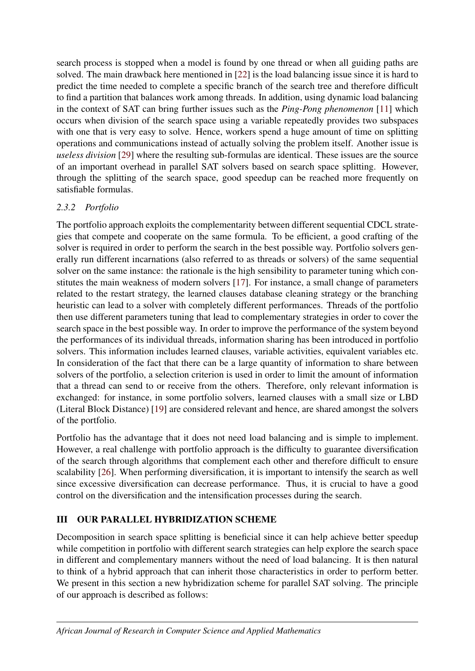search process is stopped when a model is found by one thread or when all guiding paths are solved. The main drawback here mentioned in [\[22\]](#page-14-7) is the load balancing issue since it is hard to predict the time needed to complete a specific branch of the search tree and therefore difficult to find a partition that balances work among threads. In addition, using dynamic load balancing in the context of SAT can bring further issues such as the *Ping-Pong phenomenon* [\[11\]](#page-14-15) which occurs when division of the search space using a variable repeatedly provides two subspaces with one that is very easy to solve. Hence, workers spend a huge amount of time on splitting operations and communications instead of actually solving the problem itself. Another issue is *useless division* [\[29\]](#page-15-3) where the resulting sub-formulas are identical. These issues are the source of an important overhead in parallel SAT solvers based on search space splitting. However, through the splitting of the search space, good speedup can be reached more frequently on satisfiable formulas.

## *2.3.2 Portfolio*

The portfolio approach exploits the complementarity between different sequential CDCL strategies that compete and cooperate on the same formula. To be efficient, a good crafting of the solver is required in order to perform the search in the best possible way. Portfolio solvers generally run different incarnations (also referred to as threads or solvers) of the same sequential solver on the same instance: the rationale is the high sensibility to parameter tuning which constitutes the main weakness of modern solvers [\[17\]](#page-14-2). For instance, a small change of parameters related to the restart strategy, the learned clauses database cleaning strategy or the branching heuristic can lead to a solver with completely different performances. Threads of the portfolio then use different parameters tuning that lead to complementary strategies in order to cover the search space in the best possible way. In order to improve the performance of the system beyond the performances of its individual threads, information sharing has been introduced in portfolio solvers. This information includes learned clauses, variable activities, equivalent variables etc. In consideration of the fact that there can be a large quantity of information to share between solvers of the portfolio, a selection criterion is used in order to limit the amount of information that a thread can send to or receive from the others. Therefore, only relevant information is exchanged: for instance, in some portfolio solvers, learned clauses with a small size or LBD (Literal Block Distance) [\[19\]](#page-14-10) are considered relevant and hence, are shared amongst the solvers of the portfolio.

Portfolio has the advantage that it does not need load balancing and is simple to implement. However, a real challenge with portfolio approach is the difficulty to guarantee diversification of the search through algorithms that complement each other and therefore difficult to ensure scalability [\[26\]](#page-14-4). When performing diversification, it is important to intensify the search as well since excessive diversification can decrease performance. Thus, it is crucial to have a good control on the diversification and the intensification processes during the search.

## <span id="page-4-0"></span>III OUR PARALLEL HYBRIDIZATION SCHEME

Decomposition in search space splitting is beneficial since it can help achieve better speedup while competition in portfolio with different search strategies can help explore the search space in different and complementary manners without the need of load balancing. It is then natural to think of a hybrid approach that can inherit those characteristics in order to perform better. We present in this section a new hybridization scheme for parallel SAT solving. The principle of our approach is described as follows: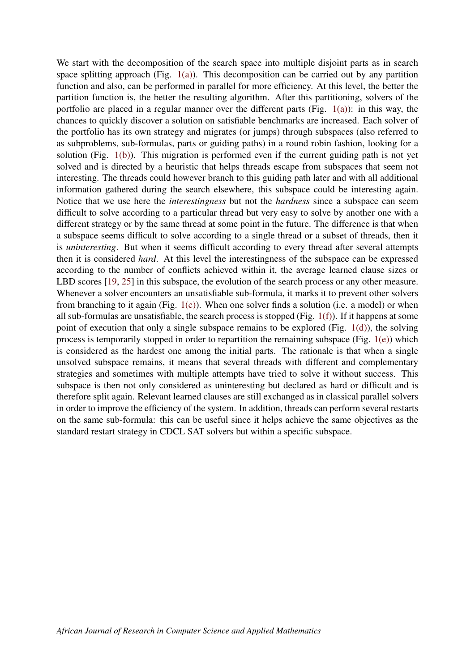We start with the decomposition of the search space into multiple disjoint parts as in search space splitting approach (Fig.  $1(a)$ ). This decomposition can be carried out by any partition function and also, can be performed in parallel for more efficiency. At this level, the better the partition function is, the better the resulting algorithm. After this partitioning, solvers of the portfolio are placed in a regular manner over the different parts (Fig. [1\(a\)\)](#page-6-0): in this way, the chances to quickly discover a solution on satisfiable benchmarks are increased. Each solver of the portfolio has its own strategy and migrates (or jumps) through subspaces (also referred to as subproblems, sub-formulas, parts or guiding paths) in a round robin fashion, looking for a solution (Fig. [1\(b\)\)](#page-6-1). This migration is performed even if the current guiding path is not yet solved and is directed by a heuristic that helps threads escape from subspaces that seem not interesting. The threads could however branch to this guiding path later and with all additional information gathered during the search elsewhere, this subspace could be interesting again. Notice that we use here the *interestingness* but not the *hardness* since a subspace can seem difficult to solve according to a particular thread but very easy to solve by another one with a different strategy or by the same thread at some point in the future. The difference is that when a subspace seems difficult to solve according to a single thread or a subset of threads, then it is *uninteresting*. But when it seems difficult according to every thread after several attempts then it is considered *hard*. At this level the interestingness of the subspace can be expressed according to the number of conflicts achieved within it, the average learned clause sizes or LBD scores [\[19,](#page-14-10) [25\]](#page-14-13) in this subspace, the evolution of the search process or any other measure. Whenever a solver encounters an unsatisfiable sub-formula, it marks it to prevent other solvers from branching to it again (Fig.  $1(c)$ ). When one solver finds a solution (i.e. a model) or when all sub-formulas are unsatisfiable, the search process is stopped (Fig. [1\(f\)\)](#page-6-3). If it happens at some point of execution that only a single subspace remains to be explored (Fig. [1\(d\)\)](#page-6-4), the solving process is temporarily stopped in order to repartition the remaining subspace (Fig. [1\(e\)\)](#page-6-5) which is considered as the hardest one among the initial parts. The rationale is that when a single unsolved subspace remains, it means that several threads with different and complementary strategies and sometimes with multiple attempts have tried to solve it without success. This subspace is then not only considered as uninteresting but declared as hard or difficult and is therefore split again. Relevant learned clauses are still exchanged as in classical parallel solvers in order to improve the efficiency of the system. In addition, threads can perform several restarts on the same sub-formula: this can be useful since it helps achieve the same objectives as the standard restart strategy in CDCL SAT solvers but within a specific subspace.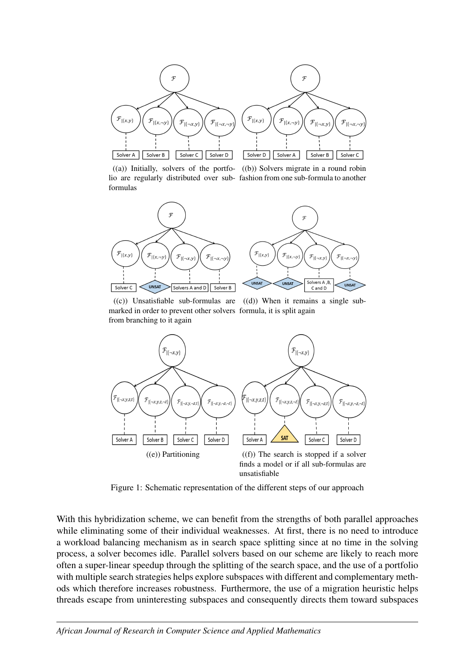

<span id="page-6-0"></span>lio are regularly distributed over sub-fashion from one sub-formula to another formulas

<span id="page-6-1"></span>((a)) Initially, solvers of the portfo-((b)) Solvers migrate in a round robin



<span id="page-6-4"></span><span id="page-6-2"></span>((c)) Unsatisfiable sub-formulas are ((d)) When it remains a single submarked in order to prevent other solvers formula, it is split again from branching to it again



<span id="page-6-5"></span><span id="page-6-3"></span>Figure 1: Schematic representation of the different steps of our approach

With this hybridization scheme, we can benefit from the strengths of both parallel approaches while eliminating some of their individual weaknesses. At first, there is no need to introduce a workload balancing mechanism as in search space splitting since at no time in the solving process, a solver becomes idle. Parallel solvers based on our scheme are likely to reach more often a super-linear speedup through the splitting of the search space, and the use of a portfolio with multiple search strategies helps explore subspaces with different and complementary methods which therefore increases robustness. Furthermore, the use of a migration heuristic helps threads escape from uninteresting subspaces and consequently directs them toward subspaces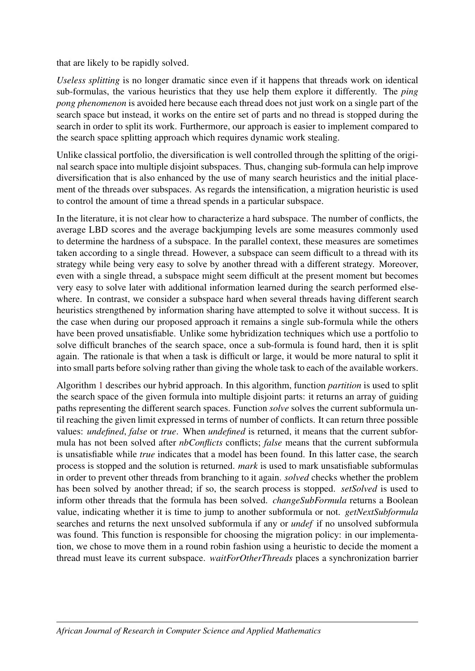that are likely to be rapidly solved.

*Useless splitting* is no longer dramatic since even if it happens that threads work on identical sub-formulas, the various heuristics that they use help them explore it differently. The *ping pong phenomenon* is avoided here because each thread does not just work on a single part of the search space but instead, it works on the entire set of parts and no thread is stopped during the search in order to split its work. Furthermore, our approach is easier to implement compared to the search space splitting approach which requires dynamic work stealing.

Unlike classical portfolio, the diversification is well controlled through the splitting of the original search space into multiple disjoint subspaces. Thus, changing sub-formula can help improve diversification that is also enhanced by the use of many search heuristics and the initial placement of the threads over subspaces. As regards the intensification, a migration heuristic is used to control the amount of time a thread spends in a particular subspace.

In the literature, it is not clear how to characterize a hard subspace. The number of conflicts, the average LBD scores and the average backjumping levels are some measures commonly used to determine the hardness of a subspace. In the parallel context, these measures are sometimes taken according to a single thread. However, a subspace can seem difficult to a thread with its strategy while being very easy to solve by another thread with a different strategy. Moreover, even with a single thread, a subspace might seem difficult at the present moment but becomes very easy to solve later with additional information learned during the search performed elsewhere. In contrast, we consider a subspace hard when several threads having different search heuristics strengthened by information sharing have attempted to solve it without success. It is the case when during our proposed approach it remains a single sub-formula while the others have been proved unsatisfiable. Unlike some hybridization techniques which use a portfolio to solve difficult branches of the search space, once a sub-formula is found hard, then it is split again. The rationale is that when a task is difficult or large, it would be more natural to split it into small parts before solving rather than giving the whole task to each of the available workers.

Algorithm [1](#page-8-1) describes our hybrid approach. In this algorithm, function *partition* is used to split the search space of the given formula into multiple disjoint parts: it returns an array of guiding paths representing the different search spaces. Function *solve* solves the current subformula until reaching the given limit expressed in terms of number of conflicts. It can return three possible values: *undefined*, *false* or *true*. When *undefined* is returned, it means that the current subformula has not been solved after *nbConflicts* conflicts; *false* means that the current subformula is unsatisfiable while *true* indicates that a model has been found. In this latter case, the search process is stopped and the solution is returned. *mark* is used to mark unsatisfiable subformulas in order to prevent other threads from branching to it again. *solved* checks whether the problem has been solved by another thread; if so, the search process is stopped. *setSolved* is used to inform other threads that the formula has been solved. *changeSubFormula* returns a Boolean value, indicating whether it is time to jump to another subformula or not. *getNextSubformula* searches and returns the next unsolved subformula if any or *undef* if no unsolved subformula was found. This function is responsible for choosing the migration policy: in our implementation, we chose to move them in a round robin fashion using a heuristic to decide the moment a thread must leave its current subspace. *waitForOtherThreads* places a synchronization barrier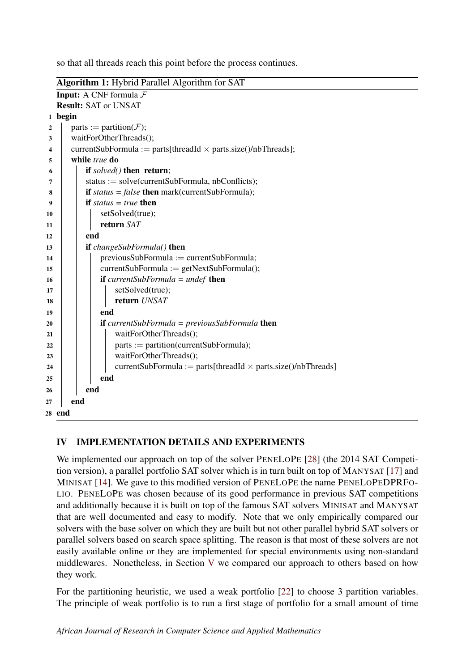so that all threads reach this point before the process continues.

<span id="page-8-1"></span>Algorithm 1: Hybrid Parallel Algorithm for SAT Input: A CNF formula F Result: SAT or UNSAT 1 begin 2 parts := partition( $\mathcal{F}$ ); 3 waitForOtherThreads(); 4 currentSubFormula := parts[threadId  $\times$  parts.size()/nbThreads]; 5 while *true* do 6 if *solved()* then return;  $7$  | status := solve(currentSubFormula, nbConflicts);  $\bf{8}$  **if** *status = false* **then** mark(currentSubFormula); 9 if *status = true* then 10 | setSolved(true);  $11$   $\parallel$   $\parallel$  **return** *SAT*  $12$  end 13 if *changeSubFormula()* then 14 previousSubFormula := currentSubFormula; 15 | currentSubFormula := getNextSubFormula(); 16 if *currentSubFormula = undef* then 17 | | | setSolved(true); 18 **return** *UNSAT* 19 | end 20 **if** *currentSubFormula = previousSubFormula* then 21 | | | waitForOtherThreads();  $22$  | | | parts := partition(currentSubFormula); 23 | waitForOtherThreads(); 24 | | | currentSubFormula := parts[threadId  $\times$  parts.size()/nbThreads]  $25$  end  $26$  end  $27$  end 28 end

## <span id="page-8-0"></span>IV IMPLEMENTATION DETAILS AND EXPERIMENTS

We implemented our approach on top of the solver PENELOPE [\[28\]](#page-15-4) (the 2014 SAT Competition version), a parallel portfolio SAT solver which is in turn built on top of MANYSAT [\[17\]](#page-14-2) and MINISAT [\[14\]](#page-14-16). We gave to this modified version of PENELOPE the name PENELOPEDPRFO-LIO. PENELOPE was chosen because of its good performance in previous SAT competitions and additionally because it is built on top of the famous SAT solvers MINISAT and MANYSAT that are well documented and easy to modify. Note that we only empirically compared our solvers with the base solver on which they are built but not other parallel hybrid SAT solvers or parallel solvers based on search space splitting. The reason is that most of these solvers are not easily available online or they are implemented for special environments using non-standard middlewares. Nonetheless, in Section [V](#page-11-0) we compared our approach to others based on how they work.

For the partitioning heuristic, we used a weak portfolio [\[22\]](#page-14-7) to choose 3 partition variables. The principle of weak portfolio is to run a first stage of portfolio for a small amount of time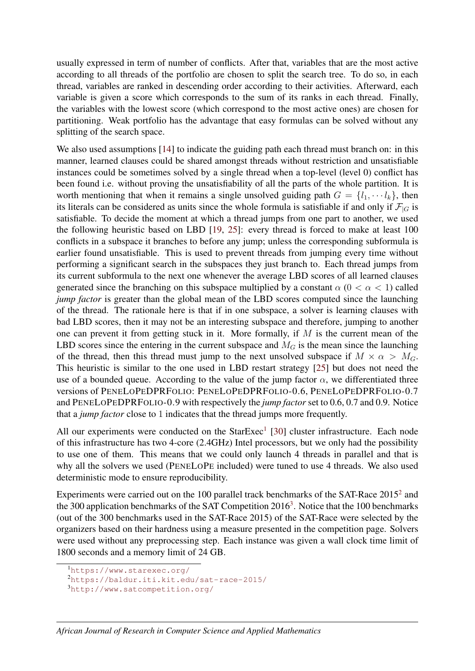usually expressed in term of number of conflicts. After that, variables that are the most active according to all threads of the portfolio are chosen to split the search tree. To do so, in each thread, variables are ranked in descending order according to their activities. Afterward, each variable is given a score which corresponds to the sum of its ranks in each thread. Finally, the variables with the lowest score (which correspond to the most active ones) are chosen for partitioning. Weak portfolio has the advantage that easy formulas can be solved without any splitting of the search space.

We also used assumptions [\[14\]](#page-14-16) to indicate the guiding path each thread must branch on: in this manner, learned clauses could be shared amongst threads without restriction and unsatisfiable instances could be sometimes solved by a single thread when a top-level (level 0) conflict has been found i.e. without proving the unsatisfiability of all the parts of the whole partition. It is worth mentioning that when it remains a single unsolved guiding path  $G = \{l_1, \dots, l_k\}$ , then its literals can be considered as units since the whole formula is satisfiable if and only if  $\mathcal{F}|_G$  is satisfiable. To decide the moment at which a thread jumps from one part to another, we used the following heuristic based on LBD [\[19,](#page-14-10) [25\]](#page-14-13): every thread is forced to make at least 100 conflicts in a subspace it branches to before any jump; unless the corresponding subformula is earlier found unsatisfiable. This is used to prevent threads from jumping every time without performing a significant search in the subspaces they just branch to. Each thread jumps from its current subformula to the next one whenever the average LBD scores of all learned clauses generated since the branching on this subspace multiplied by a constant  $\alpha$  ( $0 < \alpha < 1$ ) called *jump factor* is greater than the global mean of the LBD scores computed since the launching of the thread. The rationale here is that if in one subspace, a solver is learning clauses with bad LBD scores, then it may not be an interesting subspace and therefore, jumping to another one can prevent it from getting stuck in it. More formally, if  $M$  is the current mean of the LBD scores since the entering in the current subspace and  $M_G$  is the mean since the launching of the thread, then this thread must jump to the next unsolved subspace if  $M \times \alpha > M_G$ . This heuristic is similar to the one used in LBD restart strategy [\[25\]](#page-14-13) but does not need the use of a bounded queue. According to the value of the jump factor  $\alpha$ , we differentiated three versions of PENELOPEDPRFOLIO: PENELOPEDPRFOLIO-0.6, PENELOPEDPRFOLIO-0.7 and PENELOPEDPRFOLIO-0.9 with respectively the *jump factor* set to 0.6, 0.7 and 0.9. Notice that a *jump factor* close to 1 indicates that the thread jumps more frequently.

All our experiments were conducted on the StarExec<sup>[1](#page-9-0)</sup> [\[30\]](#page-15-5) cluster infrastructure. Each node of this infrastructure has two 4-core (2.4GHz) Intel processors, but we only had the possibility to use one of them. This means that we could only launch 4 threads in parallel and that is why all the solvers we used (PENELOPE included) were tuned to use 4 threads. We also used deterministic mode to ensure reproducibility.

Experiments were carried out on the 100 parallel track benchmarks of the SAT-Race [2](#page-9-1)015<sup>2</sup> and the [3](#page-9-2)00 application benchmarks of the SAT Competition  $2016<sup>3</sup>$ . Notice that the 100 benchmarks (out of the 300 benchmarks used in the SAT-Race 2015) of the SAT-Race were selected by the organizers based on their hardness using a measure presented in the competition page. Solvers were used without any preprocessing step. Each instance was given a wall clock time limit of 1800 seconds and a memory limit of 24 GB.

```
1https://www.starexec.org/
```

```
2https://baldur.iti.kit.edu/sat-race-2015/
```

```
3http://www.satcompetition.org/
```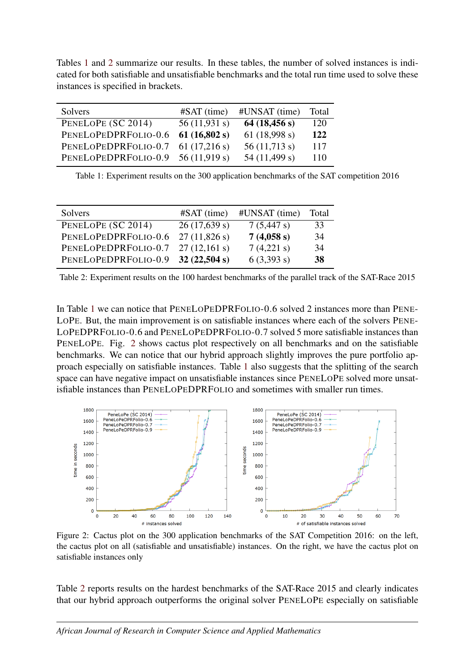Tables [1](#page-10-0) and [2](#page-10-1) summarize our results. In these tables, the number of solved instances is indicated for both satisfiable and unsatisfiable benchmarks and the total run time used to solve these instances is specified in brackets.

<span id="page-10-0"></span>

| Solvers                            | $#SAT$ (time) | #UNSAT (time)   | Total |
|------------------------------------|---------------|-----------------|-------|
| PENELOPE (SC 2014)                 | 56(11,931 s)  | 64(18, 456 s)   | 120   |
| PENELOPEDPRFOLIO-0.6               | 61(16,802 s)  | 61 $(18,998 s)$ | 122   |
| PENELOPEDPRFOLIO-0.7 61 (17,216 s) |               | 56(11,713 s)    | 117   |
| PENELOPEDPRFOLIO-0.9 56 (11,919 s) |               | 54 (11,499 s)   | 110   |
|                                    |               |                 |       |

Table 1: Experiment results on the 300 application benchmarks of the SAT competition 2016

<span id="page-10-1"></span>

| Solvers                            | $#SAT$ (time) | #UNSAT (time) | Total |
|------------------------------------|---------------|---------------|-------|
| PENELOPE (SC 2014)                 | 26(17,639 s)  | 7(5,447 s)    | 33    |
| PENELOPEDPRFOLIO-0.6               | 27(11,826 s)  | 7(4,058 s)    | 34    |
| PENELOPEDPRFOLIO-0.7 27 (12,161 s) |               | 7(4,221 s)    | 34    |
| PENELOPEDPRFOLIO-0.9 32 (22,504 s) |               | 6(3,393 s)    | 38    |

Table 2: Experiment results on the 100 hardest benchmarks of the parallel track of the SAT-Race 2015

In Table [1](#page-10-0) we can notice that PENELOPEDPRFOLIO-0.6 solved 2 instances more than PENE-LOPE. But, the main improvement is on satisfiable instances where each of the solvers PENE-LOPEDPRFOLIO-0.6 and PENELOPEDPRFOLIO-0.7 solved 5 more satisfiable instances than PENELOPE. Fig. [2](#page-10-2) shows cactus plot respectively on all benchmarks and on the satisfiable benchmarks. We can notice that our hybrid approach slightly improves the pure portfolio approach especially on satisfiable instances. Table [1](#page-10-0) also suggests that the splitting of the search space can have negative impact on unsatisfiable instances since PENELOPE solved more unsatisfiable instances than PENELOPEDPRFOLIO and sometimes with smaller run times.

<span id="page-10-2"></span>

Figure 2: Cactus plot on the 300 application benchmarks of the SAT Competition 2016: on the left, the cactus plot on all (satisfiable and unsatisfiable) instances. On the right, we have the cactus plot on satisfiable instances only

Table [2](#page-10-1) reports results on the hardest benchmarks of the SAT-Race 2015 and clearly indicates that our hybrid approach outperforms the original solver PENELOPE especially on satisfiable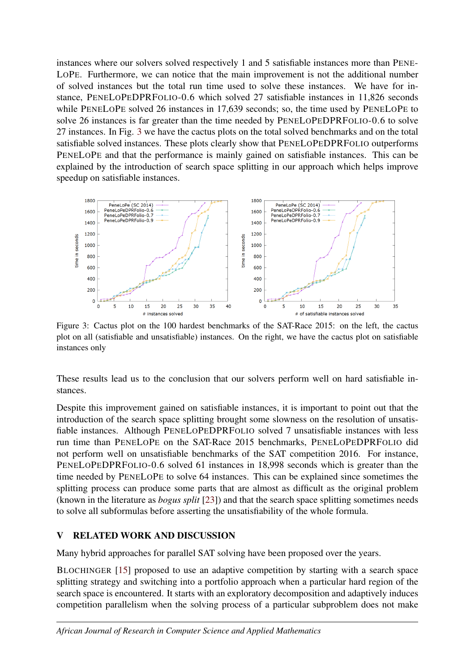instances where our solvers solved respectively 1 and 5 satisfiable instances more than PENE-LOPE. Furthermore, we can notice that the main improvement is not the additional number of solved instances but the total run time used to solve these instances. We have for instance, PENELOPEDPRFOLIO-0.6 which solved 27 satisfiable instances in 11,826 seconds while PENELOPE solved 26 instances in 17,639 seconds; so, the time used by PENELOPE to solve 26 instances is far greater than the time needed by PENELOPEDPRFOLIO-0.6 to solve 27 instances. In Fig. [3](#page-11-1) we have the cactus plots on the total solved benchmarks and on the total satisfiable solved instances. These plots clearly show that PENELOPEDPRFOLIO outperforms PENELOPE and that the performance is mainly gained on satisfiable instances. This can be explained by the introduction of search space splitting in our approach which helps improve speedup on satisfiable instances.

<span id="page-11-1"></span>

Figure 3: Cactus plot on the 100 hardest benchmarks of the SAT-Race 2015: on the left, the cactus plot on all (satisfiable and unsatisfiable) instances. On the right, we have the cactus plot on satisfiable instances only

These results lead us to the conclusion that our solvers perform well on hard satisfiable instances.

Despite this improvement gained on satisfiable instances, it is important to point out that the introduction of the search space splitting brought some slowness on the resolution of unsatisfiable instances. Although PENELOPEDPRFOLIO solved 7 unsatisfiable instances with less run time than PENELOPE on the SAT-Race 2015 benchmarks, PENELOPEDPRFOLIO did not perform well on unsatisfiable benchmarks of the SAT competition 2016. For instance, PENELOPEDPRFOLIO-0.6 solved 61 instances in 18,998 seconds which is greater than the time needed by PENELOPE to solve 64 instances. This can be explained since sometimes the splitting process can produce some parts that are almost as difficult as the original problem (known in the literature as *bogus split* [\[23\]](#page-14-17)) and that the search space splitting sometimes needs to solve all subformulas before asserting the unsatisfiability of the whole formula.

## <span id="page-11-0"></span>V RELATED WORK AND DISCUSSION

Many hybrid approaches for parallel SAT solving have been proposed over the years.

BLOCHINGER [\[15\]](#page-14-5) proposed to use an adaptive competition by starting with a search space splitting strategy and switching into a portfolio approach when a particular hard region of the search space is encountered. It starts with an exploratory decomposition and adaptively induces competition parallelism when the solving process of a particular subproblem does not make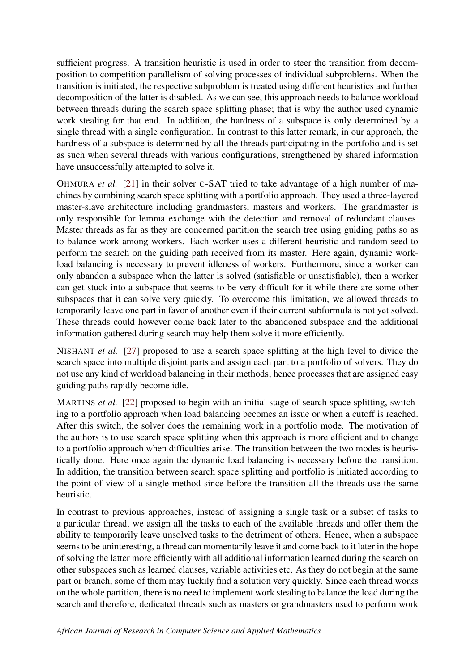sufficient progress. A transition heuristic is used in order to steer the transition from decomposition to competition parallelism of solving processes of individual subproblems. When the transition is initiated, the respective subproblem is treated using different heuristics and further decomposition of the latter is disabled. As we can see, this approach needs to balance workload between threads during the search space splitting phase; that is why the author used dynamic work stealing for that end. In addition, the hardness of a subspace is only determined by a single thread with a single configuration. In contrast to this latter remark, in our approach, the hardness of a subspace is determined by all the threads participating in the portfolio and is set as such when several threads with various configurations, strengthened by shared information have unsuccessfully attempted to solve it.

OHMURA *et al.* [\[21\]](#page-14-6) in their solver C-SAT tried to take advantage of a high number of machines by combining search space splitting with a portfolio approach. They used a three-layered master-slave architecture including grandmasters, masters and workers. The grandmaster is only responsible for lemma exchange with the detection and removal of redundant clauses. Master threads as far as they are concerned partition the search tree using guiding paths so as to balance work among workers. Each worker uses a different heuristic and random seed to perform the search on the guiding path received from its master. Here again, dynamic workload balancing is necessary to prevent idleness of workers. Furthermore, since a worker can only abandon a subspace when the latter is solved (satisfiable or unsatisfiable), then a worker can get stuck into a subspace that seems to be very difficult for it while there are some other subspaces that it can solve very quickly. To overcome this limitation, we allowed threads to temporarily leave one part in favor of another even if their current subformula is not yet solved. These threads could however come back later to the abandoned subspace and the additional information gathered during search may help them solve it more efficiently.

NISHANT *et al.* [\[27\]](#page-14-8) proposed to use a search space splitting at the high level to divide the search space into multiple disjoint parts and assign each part to a portfolio of solvers. They do not use any kind of workload balancing in their methods; hence processes that are assigned easy guiding paths rapidly become idle.

MARTINS *et al.* [\[22\]](#page-14-7) proposed to begin with an initial stage of search space splitting, switching to a portfolio approach when load balancing becomes an issue or when a cutoff is reached. After this switch, the solver does the remaining work in a portfolio mode. The motivation of the authors is to use search space splitting when this approach is more efficient and to change to a portfolio approach when difficulties arise. The transition between the two modes is heuristically done. Here once again the dynamic load balancing is necessary before the transition. In addition, the transition between search space splitting and portfolio is initiated according to the point of view of a single method since before the transition all the threads use the same heuristic.

In contrast to previous approaches, instead of assigning a single task or a subset of tasks to a particular thread, we assign all the tasks to each of the available threads and offer them the ability to temporarily leave unsolved tasks to the detriment of others. Hence, when a subspace seems to be uninteresting, a thread can momentarily leave it and come back to it later in the hope of solving the latter more efficiently with all additional information learned during the search on other subspaces such as learned clauses, variable activities etc. As they do not begin at the same part or branch, some of them may luckily find a solution very quickly. Since each thread works on the whole partition, there is no need to implement work stealing to balance the load during the search and therefore, dedicated threads such as masters or grandmasters used to perform work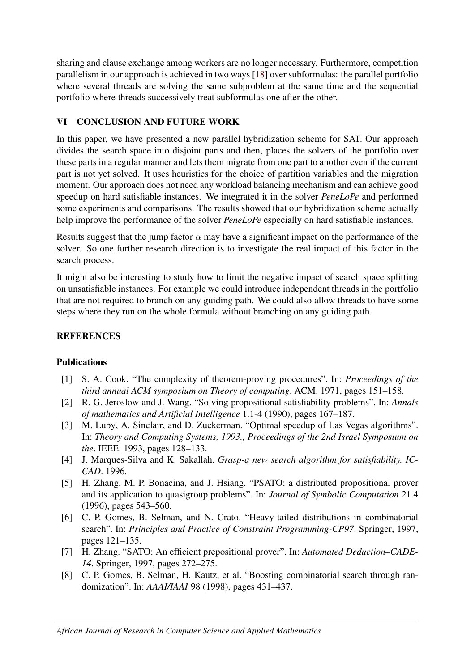sharing and clause exchange among workers are no longer necessary. Furthermore, competition parallelism in our approach is achieved in two ways [\[18\]](#page-14-18) over subformulas: the parallel portfolio where several threads are solving the same subproblem at the same time and the sequential portfolio where threads successively treat subformulas one after the other.

## <span id="page-13-4"></span>VI CONCLUSION AND FUTURE WORK

In this paper, we have presented a new parallel hybridization scheme for SAT. Our approach divides the search space into disjoint parts and then, places the solvers of the portfolio over these parts in a regular manner and lets them migrate from one part to another even if the current part is not yet solved. It uses heuristics for the choice of partition variables and the migration moment. Our approach does not need any workload balancing mechanism and can achieve good speedup on hard satisfiable instances. We integrated it in the solver *PeneLoPe* and performed some experiments and comparisons. The results showed that our hybridization scheme actually help improve the performance of the solver *PeneLoPe* especially on hard satisfiable instances.

Results suggest that the jump factor  $\alpha$  may have a significant impact on the performance of the solver. So one further research direction is to investigate the real impact of this factor in the search process.

It might also be interesting to study how to limit the negative impact of search space splitting on unsatisfiable instances. For example we could introduce independent threads in the portfolio that are not required to branch on any guiding path. We could also allow threads to have some steps where they run on the whole formula without branching on any guiding path.

## **REFERENCES**

## Publications

- <span id="page-13-3"></span>[1] S. A. Cook. "The complexity of theorem-proving procedures". In: *Proceedings of the third annual ACM symposium on Theory of computing*. ACM. 1971, pages 151–158.
- <span id="page-13-6"></span>[2] R. G. Jeroslow and J. Wang. "Solving propositional satisfiability problems". In: *Annals of mathematics and Artificial Intelligence* 1.1-4 (1990), pages 167–187.
- <span id="page-13-7"></span>[3] M. Luby, A. Sinclair, and D. Zuckerman. "Optimal speedup of Las Vegas algorithms". In: *Theory and Computing Systems, 1993., Proceedings of the 2nd Israel Symposium on the*. IEEE. 1993, pages 128–133.
- <span id="page-13-0"></span>[4] J. Marques-Silva and K. Sakallah. *Grasp-a new search algorithm for satisfiability. IC-CAD*. 1996.
- <span id="page-13-8"></span>[5] H. Zhang, M. P. Bonacina, and J. Hsiang. "PSATO: a distributed propositional prover and its application to quasigroup problems". In: *Journal of Symbolic Computation* 21.4 (1996), pages 543–560.
- <span id="page-13-5"></span>[6] C. P. Gomes, B. Selman, and N. Crato. "Heavy-tailed distributions in combinatorial search". In: *Principles and Practice of Constraint Programming-CP97*. Springer, 1997, pages 121–135.
- <span id="page-13-1"></span>[7] H. Zhang. "SATO: An efficient prepositional prover". In: *Automated Deduction–CADE-14*. Springer, 1997, pages 272–275.
- <span id="page-13-2"></span>[8] C. P. Gomes, B. Selman, H. Kautz, et al. "Boosting combinatorial search through randomization". In: *AAAI/IAAI* 98 (1998), pages 431–437.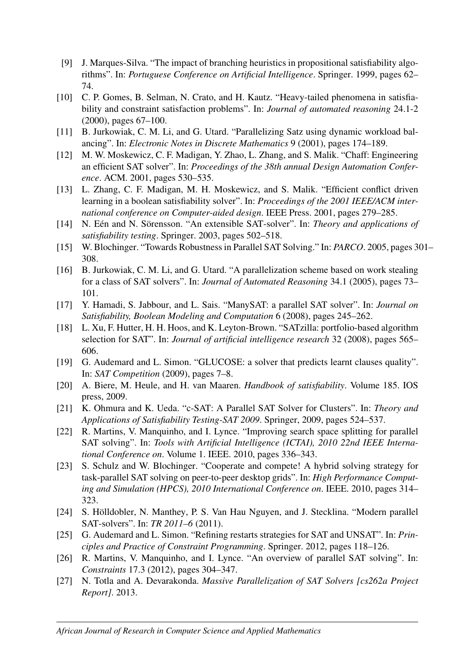- <span id="page-14-11"></span>[9] J. Marques-Silva. "The impact of branching heuristics in propositional satisfiability algorithms". In: *Portuguese Conference on Artificial Intelligence*. Springer. 1999, pages 62– 74.
- <span id="page-14-0"></span>[10] C. P. Gomes, B. Selman, N. Crato, and H. Kautz. "Heavy-tailed phenomena in satisfiability and constraint satisfaction problems". In: *Journal of automated reasoning* 24.1-2 (2000), pages 67–100.
- <span id="page-14-15"></span>[11] B. Jurkowiak, C. M. Li, and G. Utard. "Parallelizing Satz using dynamic workload balancing". In: *Electronic Notes in Discrete Mathematics* 9 (2001), pages 174–189.
- <span id="page-14-12"></span>[12] M. W. Moskewicz, C. F. Madigan, Y. Zhao, L. Zhang, and S. Malik. "Chaff: Engineering an efficient SAT solver". In: *Proceedings of the 38th annual Design Automation Conference*. ACM. 2001, pages 530–535.
- <span id="page-14-1"></span>[13] L. Zhang, C. F. Madigan, M. H. Moskewicz, and S. Malik. "Efficient conflict driven learning in a boolean satisfiability solver". In: *Proceedings of the 2001 IEEE/ACM international conference on Computer-aided design*. IEEE Press. 2001, pages 279–285.
- <span id="page-14-16"></span>[14] N. Eén and N. Sörensson. "An extensible SAT-solver". In: *Theory and applications of satisfiability testing*. Springer. 2003, pages 502–518.
- <span id="page-14-5"></span>[15] W. Blochinger. "Towards Robustness in Parallel SAT Solving." In: *PARCO*. 2005, pages 301– 308.
- <span id="page-14-14"></span>[16] B. Jurkowiak, C. M. Li, and G. Utard. "A parallelization scheme based on work stealing for a class of SAT solvers". In: *Journal of Automated Reasoning* 34.1 (2005), pages 73– 101.
- <span id="page-14-2"></span>[17] Y. Hamadi, S. Jabbour, and L. Sais. "ManySAT: a parallel SAT solver". In: *Journal on Satisfiability, Boolean Modeling and Computation* 6 (2008), pages 245–262.
- <span id="page-14-18"></span>[18] L. Xu, F. Hutter, H. H. Hoos, and K. Leyton-Brown. "SATzilla: portfolio-based algorithm selection for SAT". In: *Journal of artificial intelligence research* 32 (2008), pages 565– 606.
- <span id="page-14-10"></span>[19] G. Audemard and L. Simon. "GLUCOSE: a solver that predicts learnt clauses quality". In: *SAT Competition* (2009), pages 7–8.
- <span id="page-14-9"></span>[20] A. Biere, M. Heule, and H. van Maaren. *Handbook of satisfiability*. Volume 185. IOS press, 2009.
- <span id="page-14-6"></span>[21] K. Ohmura and K. Ueda. "c-SAT: A Parallel SAT Solver for Clusters". In: *Theory and Applications of Satisfiability Testing-SAT 2009*. Springer, 2009, pages 524–537.
- <span id="page-14-7"></span>[22] R. Martins, V. Manquinho, and I. Lynce. "Improving search space splitting for parallel SAT solving". In: *Tools with Artificial Intelligence (ICTAI), 2010 22nd IEEE International Conference on*. Volume 1. IEEE. 2010, pages 336–343.
- <span id="page-14-17"></span>[23] S. Schulz and W. Blochinger. "Cooperate and compete! A hybrid solving strategy for task-parallel SAT solving on peer-to-peer desktop grids". In: *High Performance Computing and Simulation (HPCS), 2010 International Conference on*. IEEE. 2010, pages 314– 323.
- <span id="page-14-3"></span>[24] S. Hölldobler, N. Manthey, P. S. Van Hau Nguyen, and J. Stecklina. "Modern parallel SAT-solvers". In: *TR 2011–6* (2011).
- <span id="page-14-13"></span>[25] G. Audemard and L. Simon. "Refining restarts strategies for SAT and UNSAT". In: *Principles and Practice of Constraint Programming*. Springer. 2012, pages 118–126.
- <span id="page-14-4"></span>[26] R. Martins, V. Manquinho, and I. Lynce. "An overview of parallel SAT solving". In: *Constraints* 17.3 (2012), pages 304–347.
- <span id="page-14-8"></span>[27] N. Totla and A. Devarakonda. *Massive Parallelization of SAT Solvers [cs262a Project Report]*. 2013.